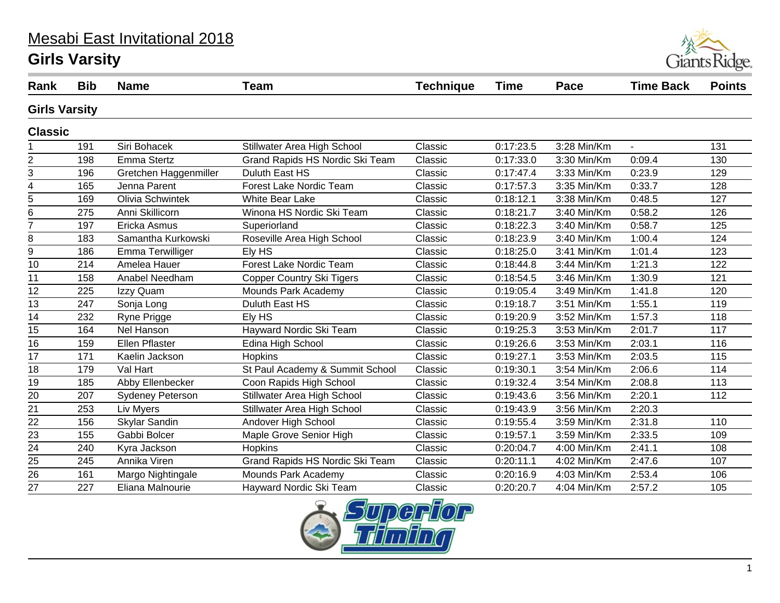# Mesabi East Invitational 2018

#### **Girls Varsity**



| Rank                    | <b>Bib</b> | <b>Name</b>             | <b>Team</b>                      | <b>Technique</b> | <b>Time</b> | Pace        | <b>Time Back</b> | <b>Points</b> |  |
|-------------------------|------------|-------------------------|----------------------------------|------------------|-------------|-------------|------------------|---------------|--|
| <b>Girls Varsity</b>    |            |                         |                                  |                  |             |             |                  |               |  |
| <b>Classic</b>          |            |                         |                                  |                  |             |             |                  |               |  |
|                         | 191        | Siri Bohacek            | Stillwater Area High School      | Classic          | 0:17:23.5   | 3:28 Min/Km | ÷,               | 131           |  |
| 2                       | 198        | Emma Stertz             | Grand Rapids HS Nordic Ski Team  | Classic          | 0:17:33.0   | 3:30 Min/Km | 0:09.4           | 130           |  |
| 3                       | 196        | Gretchen Haggenmiller   | Duluth East HS                   | Classic          | 0:17:47.4   | 3:33 Min/Km | 0:23.9           | 129           |  |
| $\overline{\mathbf{4}}$ | 165        | Jenna Parent            | Forest Lake Nordic Team          | Classic          | 0:17:57.3   | 3:35 Min/Km | 0:33.7           | 128           |  |
| 5                       | 169        | Olivia Schwintek        | <b>White Bear Lake</b>           | Classic          | 0:18:12.1   | 3:38 Min/Km | 0:48.5           | 127           |  |
| 6                       | 275        | Anni Skillicorn         | Winona HS Nordic Ski Team        | Classic          | 0:18:21.7   | 3:40 Min/Km | 0:58.2           | 126           |  |
| $\overline{7}$          | 197        | Ericka Asmus            | Superiorland                     | Classic          | 0:18:22.3   | 3:40 Min/Km | 0:58.7           | 125           |  |
| 8                       | 183        | Samantha Kurkowski      | Roseville Area High School       | Classic          | 0:18:23.9   | 3:40 Min/Km | 1:00.4           | 124           |  |
| 9                       | 186        | Emma Terwilliger        | Ely HS                           | Classic          | 0:18:25.0   | 3:41 Min/Km | 1:01.4           | 123           |  |
| 10                      | 214        | Amelea Hauer            | Forest Lake Nordic Team          | Classic          | 0:18:44.8   | 3:44 Min/Km | 1:21.3           | 122           |  |
| 11                      | 158        | Anabel Needham          | <b>Copper Country Ski Tigers</b> | Classic          | 0:18:54.5   | 3:46 Min/Km | 1:30.9           | 121           |  |
| $\overline{12}$         | 225        | Izzy Quam               | Mounds Park Academy              | Classic          | 0:19:05.4   | 3:49 Min/Km | 1:41.8           | 120           |  |
| 13                      | 247        | Sonja Long              | Duluth East HS                   | Classic          | 0:19:18.7   | 3:51 Min/Km | 1:55.1           | 119           |  |
| 14                      | 232        | Ryne Prigge             | Ely HS                           | Classic          | 0:19:20.9   | 3:52 Min/Km | 1:57.3           | 118           |  |
| 15                      | 164        | Nel Hanson              | Hayward Nordic Ski Team          | Classic          | 0:19:25.3   | 3:53 Min/Km | 2:01.7           | 117           |  |
| 16                      | 159        | Ellen Pflaster          | Edina High School                | Classic          | 0:19:26.6   | 3:53 Min/Km | 2:03.1           | 116           |  |
| 17                      | 171        | Kaelin Jackson          | Hopkins                          | Classic          | 0:19:27.1   | 3:53 Min/Km | 2:03.5           | 115           |  |
| 18                      | 179        | Val Hart                | St Paul Academy & Summit School  | Classic          | 0:19:30.1   | 3:54 Min/Km | 2:06.6           | 114           |  |
| 19                      | 185        | Abby Ellenbecker        | Coon Rapids High School          | Classic          | 0:19:32.4   | 3:54 Min/Km | 2:08.8           | 113           |  |
| 20                      | 207        | <b>Sydeney Peterson</b> | Stillwater Area High School      | Classic          | 0:19:43.6   | 3:56 Min/Km | 2:20.1           | 112           |  |
| 21                      | 253        | Liv Myers               | Stillwater Area High School      | Classic          | 0:19:43.9   | 3:56 Min/Km | 2:20.3           |               |  |
| $\overline{22}$         | 156        | Skylar Sandin           | Andover High School              | Classic          | 0:19:55.4   | 3:59 Min/Km | 2:31.8           | 110           |  |
| 23                      | 155        | Gabbi Bolcer            | Maple Grove Senior High          | Classic          | 0:19:57.1   | 3:59 Min/Km | 2:33.5           | 109           |  |
| $\overline{24}$         | 240        | Kyra Jackson            | <b>Hopkins</b>                   | Classic          | 0:20:04.7   | 4:00 Min/Km | 2:41.1           | 108           |  |
| $\overline{25}$         | 245        | Annika Viren            | Grand Rapids HS Nordic Ski Team  | Classic          | 0:20:11.1   | 4:02 Min/Km | 2:47.6           | 107           |  |
| 26                      | 161        | Margo Nightingale       | Mounds Park Academy              | Classic          | 0:20:16.9   | 4:03 Min/Km | 2:53.4           | 106           |  |
| 27                      | 227        | Eliana Malnourie        | Hayward Nordic Ski Team          | Classic          | 0:20:20.7   | 4:04 Min/Km | 2:57.2           | 105           |  |
|                         |            |                         |                                  |                  |             |             |                  |               |  |

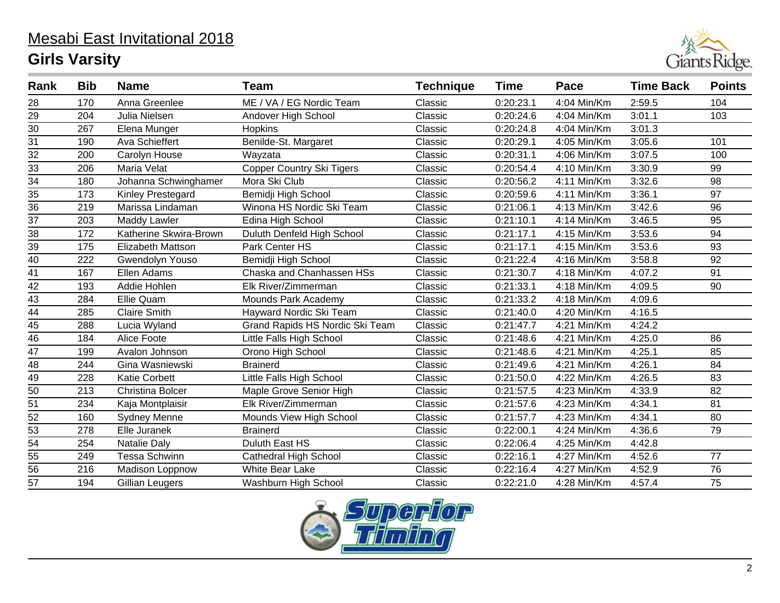

| Rank            | <b>Bib</b> | <b>Name</b>             | <b>Team</b>                     | <b>Technique</b> | <b>Time</b> | Pace        | <b>Time Back</b> | <b>Points</b>   |
|-----------------|------------|-------------------------|---------------------------------|------------------|-------------|-------------|------------------|-----------------|
| 28              | 170        | Anna Greenlee           | ME / VA / EG Nordic Team        | Classic          | 0:20:23.1   | 4:04 Min/Km | 2:59.5           | 104             |
| 29              | 204        | Julia Nielsen           | Andover High School             | Classic          | 0:20:24.6   | 4:04 Min/Km | 3:01.1           | 103             |
| $\overline{30}$ | 267        | Elena Munger            | <b>Hopkins</b>                  | Classic          | 0:20:24.8   | 4:04 Min/Km | 3:01.3           |                 |
| 31              | 190        | Ava Schieffert          | Benilde-St. Margaret            | Classic          | 0:20:29.1   | 4:05 Min/Km | 3:05.6           | 101             |
| $\overline{32}$ | 200        | Carolyn House           | Wayzata                         | Classic          | 0:20:31.1   | 4:06 Min/Km | 3:07.5           | 100             |
| 33              | 206        | Maria Velat             | Copper Country Ski Tigers       | Classic          | 0:20:54.4   | 4:10 Min/Km | 3:30.9           | 99              |
| $\overline{34}$ | 180        | Johanna Schwinghamer    | Mora Ski Club                   | Classic          | 0:20:56.2   | 4:11 Min/Km | 3:32.6           | 98              |
| 35              | 173        | Kinley Prestegard       | Bemidji High School             | Classic          | 0:20:59.6   | 4:11 Min/Km | 3:36.1           | 97              |
| $\overline{36}$ | 219        | Marissa Lindaman        | Winona HS Nordic Ski Team       | Classic          | 0:21:06.1   | 4:13 Min/Km | 3:42.6           | $\overline{96}$ |
| $\overline{37}$ | 203        | <b>Maddy Lawler</b>     | Edina High School               | Classic          | 0:21:10.1   | 4:14 Min/Km | 3:46.5           | 95              |
| $\overline{38}$ | 172        | Katherine Skwira-Brown  | Duluth Denfeld High School      | Classic          | 0:21:17.1   | 4:15 Min/Km | 3:53.6           | 94              |
| $\overline{39}$ | 175        | Elizabeth Mattson       | Park Center HS                  | Classic          | 0:21:17.1   | 4:15 Min/Km | 3:53.6           | 93              |
| $\overline{40}$ | 222        | Gwendolyn Youso         | Bemidji High School             | Classic          | 0:21:22.4   | 4:16 Min/Km | 3:58.8           | $\overline{92}$ |
| 41              | 167        | Ellen Adams             | Chaska and Chanhassen HSs       | Classic          | 0:21:30.7   | 4:18 Min/Km | 4:07.2           | 91              |
| $\overline{42}$ | 193        | Addie Hohlen            | Elk River/Zimmerman             | Classic          | 0:21:33.1   | 4:18 Min/Km | 4:09.5           | 90              |
| $\frac{43}{44}$ | 284        | Ellie Quam              | Mounds Park Academy             | Classic          | 0:21:33.2   | 4:18 Min/Km | 4:09.6           |                 |
|                 | 285        | <b>Claire Smith</b>     | Hayward Nordic Ski Team         | Classic          | 0:21:40.0   | 4:20 Min/Km | 4:16.5           |                 |
| 45              | 288        | Lucia Wyland            | Grand Rapids HS Nordic Ski Team | Classic          | 0:21:47.7   | 4:21 Min/Km | 4:24.2           |                 |
| $\overline{46}$ | 184        | Alice Foote             | Little Falls High School        | Classic          | 0:21:48.6   | 4:21 Min/Km | 4:25.0           | 86              |
| 47              | 199        | Avalon Johnson          | Orono High School               | Classic          | 0:21:48.6   | 4:21 Min/Km | 4:25.1           | 85              |
| $\overline{48}$ | 244        | Gina Wasniewski         | <b>Brainerd</b>                 | Classic          | 0:21:49.6   | 4:21 Min/Km | 4:26.1           | 84              |
| 49              | 228        | <b>Katie Corbett</b>    | Little Falls High School        | Classic          | 0:21:50.0   | 4:22 Min/Km | 4:26.5           | 83              |
| $\overline{50}$ | 213        | <b>Christina Bolcer</b> | Maple Grove Senior High         | Classic          | 0:21:57.5   | 4:23 Min/Km | 4:33.9           | $\overline{82}$ |
| 51              | 234        | Kaja Montplaisir        | Elk River/Zimmerman             | Classic          | 0:21:57.6   | 4:23 Min/Km | 4:34.1           | 81              |
| $\overline{52}$ | 160        | <b>Sydney Menne</b>     | Mounds View High School         | Classic          | 0:21:57.7   | 4:23 Min/Km | 4:34.1           | $\overline{80}$ |
| 53              | 278        | Elle Juranek            | <b>Brainerd</b>                 | Classic          | 0:22:00.1   | 4:24 Min/Km | 4:36.6           | 79              |
| $\overline{54}$ | 254        | Natalie Daly            | Duluth East HS                  | Classic          | 0:22:06.4   | 4:25 Min/Km | 4:42.8           |                 |
| 55              | 249        | <b>Tessa Schwinn</b>    | <b>Cathedral High School</b>    | Classic          | 0:22:16.1   | 4:27 Min/Km | 4:52.6           | 77              |
| $\overline{56}$ | 216        | Madison Loppnow         | <b>White Bear Lake</b>          | Classic          | 0:22:16.4   | 4:27 Min/Km | 4:52.9           | $\overline{76}$ |
| 57              | 194        | Gillian Leugers         | Washburn High School            | Classic          | 0:22:21.0   | 4:28 Min/Km | 4:57.4           | 75              |

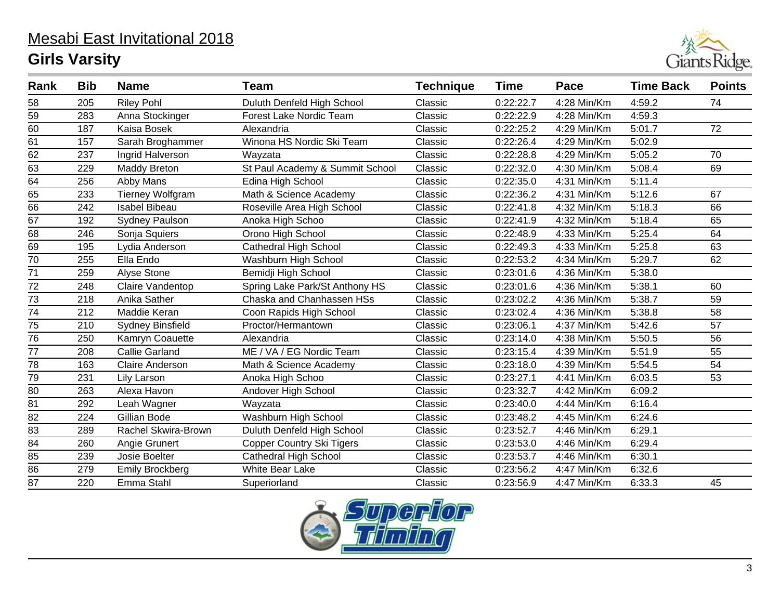

| Rank            | <b>Bib</b> | <b>Name</b>             | Team                            | <b>Technique</b> | <b>Time</b> | Pace        | <b>Time Back</b> | <b>Points</b> |
|-----------------|------------|-------------------------|---------------------------------|------------------|-------------|-------------|------------------|---------------|
| 58              | 205        | <b>Riley Pohl</b>       | Duluth Denfeld High School      | Classic          | 0:22:22.7   | 4:28 Min/Km | 4:59.2           | 74            |
| 59              | 283        | Anna Stockinger         | <b>Forest Lake Nordic Team</b>  | Classic          | 0:22:22.9   | 4:28 Min/Km | 4:59.3           |               |
| 60              | 187        | Kaisa Bosek             | Alexandria                      | Classic          | 0:22:25.2   | 4:29 Min/Km | 5:01.7           | 72            |
| 61              | 157        | Sarah Broghammer        | Winona HS Nordic Ski Team       | Classic          | 0:22:26.4   | 4:29 Min/Km | 5:02.9           |               |
| $\overline{62}$ | 237        | Ingrid Halverson        | Wayzata                         | Classic          | 0:22:28.8   | 4:29 Min/Km | 5:05.2           | 70            |
| 63              | 229        | <b>Maddy Breton</b>     | St Paul Academy & Summit School | Classic          | 0:22:32.0   | 4:30 Min/Km | 5:08.4           | 69            |
| 64              | 256        | Abby Mans               | Edina High School               | Classic          | 0:22:35.0   | 4:31 Min/Km | 5:11.4           |               |
| 65              | 233        | <b>Tierney Wolfgram</b> | Math & Science Academy          | Classic          | 0:22:36.2   | 4:31 Min/Km | 5:12.6           | 67            |
| 66              | 242        | <b>Isabel Bibeau</b>    | Roseville Area High School      | Classic          | 0:22:41.8   | 4:32 Min/Km | 5:18.3           | 66            |
| 67              | 192        | <b>Sydney Paulson</b>   | Anoka High Schoo                | Classic          | 0:22:41.9   | 4:32 Min/Km | 5:18.4           | 65            |
| 68              | 246        | Sonja Squiers           | Orono High School               | Classic          | 0:22:48.9   | 4:33 Min/Km | 5:25.4           | 64            |
| 69              | 195        | Lydia Anderson          | Cathedral High School           | Classic          | 0:22:49.3   | 4:33 Min/Km | 5:25.8           | 63            |
| $\overline{70}$ | 255        | Ella Endo               | Washburn High School            | Classic          | 0:22:53.2   | 4:34 Min/Km | 5:29.7           | 62            |
| 71              | 259        | Alyse Stone             | Bemidji High School             | Classic          | 0:23:01.6   | 4:36 Min/Km | 5:38.0           |               |
| $\overline{72}$ | 248        | Claire Vandentop        | Spring Lake Park/St Anthony HS  | Classic          | 0:23:01.6   | 4:36 Min/Km | 5:38.1           | 60            |
| 73              | 218        | Anika Sather            | Chaska and Chanhassen HSs       | Classic          | 0:23:02.2   | 4:36 Min/Km | 5:38.7           | 59            |
| $\overline{74}$ | 212        | Maddie Keran            | Coon Rapids High School         | Classic          | 0:23:02.4   | 4:36 Min/Km | 5:38.8           | 58            |
| 75              | 210        | <b>Sydney Binsfield</b> | Proctor/Hermantown              | Classic          | 0:23:06.1   | 4:37 Min/Km | 5:42.6           | 57            |
| 76              | 250        | Kamryn Coauette         | Alexandria                      | Classic          | 0:23:14.0   | 4:38 Min/Km | 5:50.5           | 56            |
| 77              | 208        | <b>Callie Garland</b>   | ME / VA / EG Nordic Team        | Classic          | 0:23:15.4   | 4:39 Min/Km | 5:51.9           | 55            |
| $\overline{78}$ | 163        | <b>Claire Anderson</b>  | Math & Science Academy          | Classic          | 0:23:18.0   | 4:39 Min/Km | 5:54.5           | 54            |
| 79              | 231        | Lily Larson             | Anoka High Schoo                | Classic          | 0:23:27.1   | 4:41 Min/Km | 6:03.5           | 53            |
| 80              | 263        | Alexa Havon             | Andover High School             | Classic          | 0:23:32.7   | 4:42 Min/Km | 6:09.2           |               |
| 81              | 292        | Leah Wagner             | Wayzata                         | Classic          | 0:23:40.0   | 4:44 Min/Km | 6:16.4           |               |
| 82              | 224        | Gillian Bode            | Washburn High School            | Classic          | 0:23:48.2   | 4:45 Min/Km | 6:24.6           |               |
| 83              | 289        | Rachel Skwira-Brown     | Duluth Denfeld High School      | Classic          | 0:23:52.7   | 4:46 Min/Km | 6:29.1           |               |
| 84              | 260        | Angie Grunert           | Copper Country Ski Tigers       | Classic          | 0:23:53.0   | 4:46 Min/Km | 6:29.4           |               |
| 85              | 239        | Josie Boelter           | <b>Cathedral High School</b>    | Classic          | 0:23:53.7   | 4:46 Min/Km | 6:30.1           |               |
| 86              | 279        | <b>Emily Brockberg</b>  | <b>White Bear Lake</b>          | Classic          | 0:23:56.2   | 4:47 Min/Km | 6:32.6           |               |
| 87              | 220        | Emma Stahl              | Superiorland                    | Classic          | 0:23:56.9   | 4:47 Min/Km | 6:33.3           | 45            |

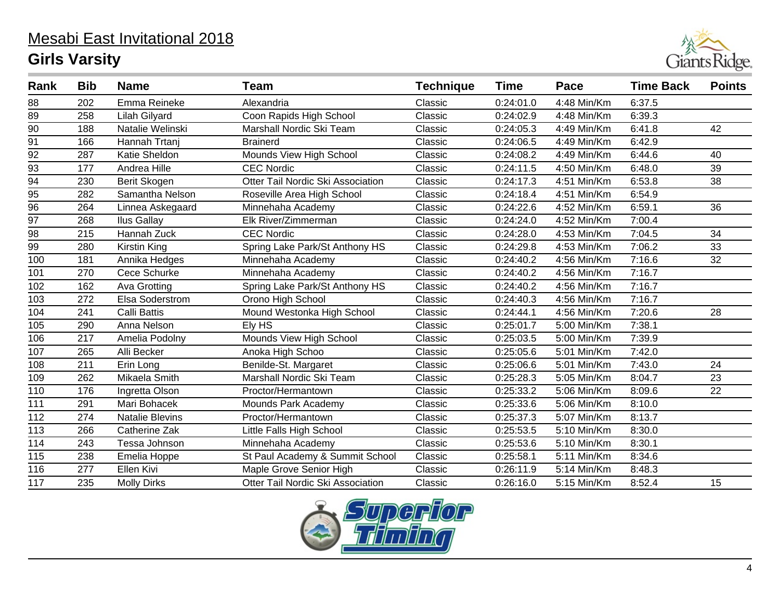

| Rank             | <b>Bib</b> | <b>Name</b>            | <b>Team</b>                       | <b>Technique</b> | <b>Time</b> | Pace        | <b>Time Back</b> | <b>Points</b>   |
|------------------|------------|------------------------|-----------------------------------|------------------|-------------|-------------|------------------|-----------------|
| 88               | 202        | Emma Reineke           | Alexandria                        | Classic          | 0:24:01.0   | 4:48 Min/Km | 6:37.5           |                 |
| 89               | 258        | <b>Lilah Gilyard</b>   | Coon Rapids High School           | Classic          | 0:24:02.9   | 4:48 Min/Km | 6:39.3           |                 |
| $\overline{90}$  | 188        | Natalie Welinski       | Marshall Nordic Ski Team          | Classic          | 0:24:05.3   | 4:49 Min/Km | 6:41.8           | 42              |
| $\overline{91}$  | 166        | Hannah Trtanj          | <b>Brainerd</b>                   | Classic          | 0:24:06.5   | 4:49 Min/Km | 6:42.9           |                 |
| $\overline{92}$  | 287        | Katie Sheldon          | Mounds View High School           | Classic          | 0:24:08.2   | 4:49 Min/Km | 6:44.6           | 40              |
| 93               | 177        | Andrea Hille           | <b>CEC Nordic</b>                 | Classic          | 0:24:11.5   | 4:50 Min/Km | 6:48.0           | 39              |
| $\overline{94}$  | 230        | Berit Skogen           | Otter Tail Nordic Ski Association | Classic          | 0:24:17.3   | 4:51 Min/Km | 6:53.8           | 38              |
| $\frac{95}{96}$  | 282        | Samantha Nelson        | Roseville Area High School        | Classic          | 0:24:18.4   | 4:51 Min/Km | 6:54.9           |                 |
|                  | 264        | Linnea Askegaard       | Minnehaha Academy                 | Classic          | 0:24:22.6   | 4:52 Min/Km | 6:59.1           | 36              |
| $\overline{97}$  | 268        | <b>Ilus Gallay</b>     | Elk River/Zimmerman               | Classic          | 0:24:24.0   | 4:52 Min/Km | 7:00.4           |                 |
| 98               | 215        | Hannah Zuck            | <b>CEC Nordic</b>                 | Classic          | 0:24:28.0   | 4:53 Min/Km | 7:04.5           | 34              |
| $\overline{99}$  | 280        | <b>Kirstin King</b>    | Spring Lake Park/St Anthony HS    | Classic          | 0:24:29.8   | 4:53 Min/Km | 7:06.2           | $\overline{33}$ |
| $\overline{100}$ | 181        | Annika Hedges          | Minnehaha Academy                 | Classic          | 0:24:40.2   | 4:56 Min/Km | 7:16.6           | 32              |
| 101              | 270        | Cece Schurke           | Minnehaha Academy                 | Classic          | 0:24:40.2   | 4:56 Min/Km | 7:16.7           |                 |
| 102              | 162        | Ava Grotting           | Spring Lake Park/St Anthony HS    | Classic          | 0:24:40.2   | 4:56 Min/Km | 7:16.7           |                 |
| 103              | 272        | Elsa Soderstrom        | Orono High School                 | Classic          | 0:24:40.3   | 4:56 Min/Km | 7:16.7           |                 |
| 104              | 241        | <b>Calli Battis</b>    | Mound Westonka High School        | Classic          | 0:24:44.1   | 4:56 Min/Km | 7:20.6           | 28              |
| 105              | 290        | Anna Nelson            | Ely HS                            | Classic          | 0:25:01.7   | 5:00 Min/Km | 7:38.1           |                 |
| 106              | 217        | Amelia Podolny         | Mounds View High School           | Classic          | 0:25:03.5   | 5:00 Min/Km | 7:39.9           |                 |
| 107              | 265        | Alli Becker            | Anoka High Schoo                  | Classic          | 0:25:05.6   | 5:01 Min/Km | 7:42.0           |                 |
| 108              | 211        | Erin Long              | Benilde-St. Margaret              | Classic          | 0:25:06.6   | 5:01 Min/Km | 7:43.0           | 24              |
| 109              | 262        | Mikaela Smith          | Marshall Nordic Ski Team          | Classic          | 0:25:28.3   | 5:05 Min/Km | 8:04.7           | 23              |
| 110              | 176        | Ingretta Olson         | Proctor/Hermantown                | Classic          | 0:25:33.2   | 5:06 Min/Km | 8:09.6           | 22              |
| 111              | 291        | Mari Bohacek           | Mounds Park Academy               | Classic          | 0:25:33.6   | 5:06 Min/Km | 8:10.0           |                 |
| 112              | 274        | <b>Natalie Blevins</b> | Proctor/Hermantown                | Classic          | 0:25:37.3   | 5:07 Min/Km | 8:13.7           |                 |
| 113              | 266        | Catherine Zak          | Little Falls High School          | Classic          | 0:25:53.5   | 5:10 Min/Km | 8:30.0           |                 |
| 114              | 243        | Tessa Johnson          | Minnehaha Academy                 | Classic          | 0:25:53.6   | 5:10 Min/Km | 8:30.1           |                 |
| 115              | 238        | Emelia Hoppe           | St Paul Academy & Summit School   | Classic          | 0:25:58.1   | 5:11 Min/Km | 8:34.6           |                 |
| 116              | 277        | Ellen Kivi             | Maple Grove Senior High           | Classic          | 0:26:11.9   | 5:14 Min/Km | 8:48.3           |                 |
| 117              | 235        | <b>Molly Dirks</b>     | Otter Tail Nordic Ski Association | Classic          | 0:26:16.0   | 5:15 Min/Km | 8:52.4           | 15              |